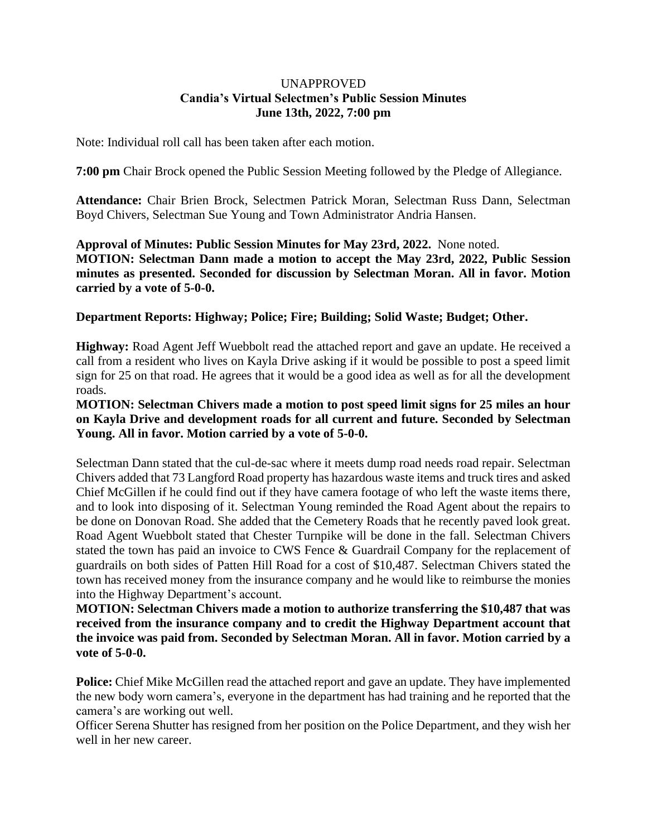#### UNAPPROVED **Candia's Virtual Selectmen's Public Session Minutes June 13th, 2022, 7:00 pm**

Note: Individual roll call has been taken after each motion.

**7:00 pm** Chair Brock opened the Public Session Meeting followed by the Pledge of Allegiance.

**Attendance:** Chair Brien Brock, Selectmen Patrick Moran, Selectman Russ Dann, Selectman Boyd Chivers, Selectman Sue Young and Town Administrator Andria Hansen.

**Approval of Minutes: Public Session Minutes for May 23rd, 2022.** None noted. **MOTION: Selectman Dann made a motion to accept the May 23rd, 2022, Public Session minutes as presented. Seconded for discussion by Selectman Moran. All in favor. Motion carried by a vote of 5-0-0.**

# **Department Reports: Highway; Police; Fire; Building; Solid Waste; Budget; Other.**

**Highway:** Road Agent Jeff Wuebbolt read the attached report and gave an update. He received a call from a resident who lives on Kayla Drive asking if it would be possible to post a speed limit sign for 25 on that road. He agrees that it would be a good idea as well as for all the development roads.

# **MOTION: Selectman Chivers made a motion to post speed limit signs for 25 miles an hour on Kayla Drive and development roads for all current and future. Seconded by Selectman Young. All in favor. Motion carried by a vote of 5-0-0.**

Selectman Dann stated that the cul-de-sac where it meets dump road needs road repair. Selectman Chivers added that 73 Langford Road property has hazardous waste items and truck tires and asked Chief McGillen if he could find out if they have camera footage of who left the waste items there, and to look into disposing of it. Selectman Young reminded the Road Agent about the repairs to be done on Donovan Road. She added that the Cemetery Roads that he recently paved look great. Road Agent Wuebbolt stated that Chester Turnpike will be done in the fall. Selectman Chivers stated the town has paid an invoice to CWS Fence & Guardrail Company for the replacement of guardrails on both sides of Patten Hill Road for a cost of \$10,487. Selectman Chivers stated the town has received money from the insurance company and he would like to reimburse the monies into the Highway Department's account.

**MOTION: Selectman Chivers made a motion to authorize transferring the \$10,487 that was received from the insurance company and to credit the Highway Department account that the invoice was paid from. Seconded by Selectman Moran. All in favor. Motion carried by a vote of 5-0-0.**

**Police:** Chief Mike McGillen read the attached report and gave an update. They have implemented the new body worn camera's, everyone in the department has had training and he reported that the camera's are working out well.

Officer Serena Shutter has resigned from her position on the Police Department, and they wish her well in her new career.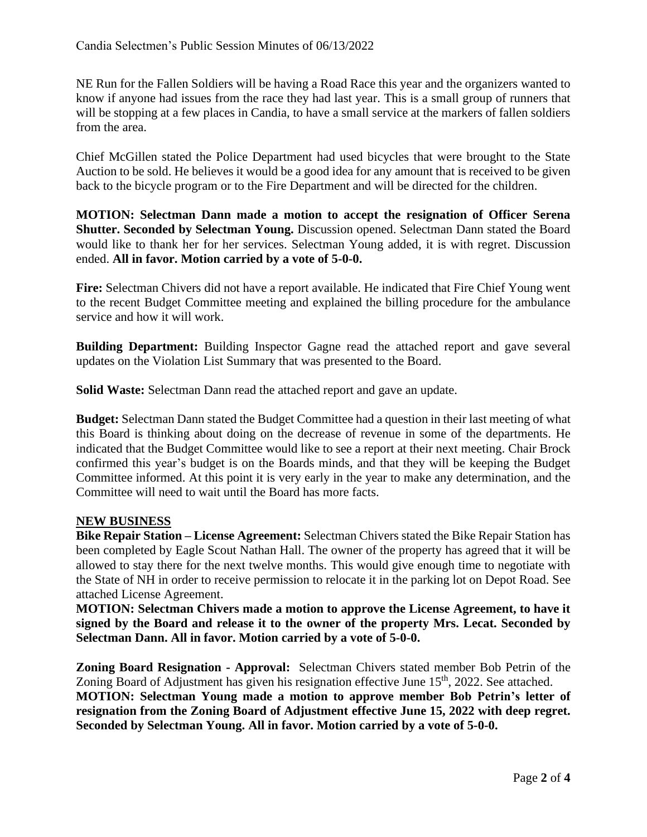NE Run for the Fallen Soldiers will be having a Road Race this year and the organizers wanted to know if anyone had issues from the race they had last year. This is a small group of runners that will be stopping at a few places in Candia, to have a small service at the markers of fallen soldiers from the area.

Chief McGillen stated the Police Department had used bicycles that were brought to the State Auction to be sold. He believes it would be a good idea for any amount that is received to be given back to the bicycle program or to the Fire Department and will be directed for the children.

**MOTION: Selectman Dann made a motion to accept the resignation of Officer Serena Shutter. Seconded by Selectman Young.** Discussion opened. Selectman Dann stated the Board would like to thank her for her services. Selectman Young added, it is with regret. Discussion ended. **All in favor. Motion carried by a vote of 5-0-0.**

**Fire:** Selectman Chivers did not have a report available. He indicated that Fire Chief Young went to the recent Budget Committee meeting and explained the billing procedure for the ambulance service and how it will work.

**Building Department:** Building Inspector Gagne read the attached report and gave several updates on the Violation List Summary that was presented to the Board.

**Solid Waste:** Selectman Dann read the attached report and gave an update.

**Budget:** Selectman Dann stated the Budget Committee had a question in their last meeting of what this Board is thinking about doing on the decrease of revenue in some of the departments. He indicated that the Budget Committee would like to see a report at their next meeting. Chair Brock confirmed this year's budget is on the Boards minds, and that they will be keeping the Budget Committee informed. At this point it is very early in the year to make any determination, and the Committee will need to wait until the Board has more facts.

#### **NEW BUSINESS**

**Bike Repair Station – License Agreement:** Selectman Chivers stated the Bike Repair Station has been completed by Eagle Scout Nathan Hall. The owner of the property has agreed that it will be allowed to stay there for the next twelve months. This would give enough time to negotiate with the State of NH in order to receive permission to relocate it in the parking lot on Depot Road. See attached License Agreement.

**MOTION: Selectman Chivers made a motion to approve the License Agreement, to have it signed by the Board and release it to the owner of the property Mrs. Lecat. Seconded by Selectman Dann. All in favor. Motion carried by a vote of 5-0-0.**

**Zoning Board Resignation - Approval:** Selectman Chivers stated member Bob Petrin of the Zoning Board of Adjustment has given his resignation effective June 15<sup>th</sup>, 2022. See attached. **MOTION: Selectman Young made a motion to approve member Bob Petrin's letter of resignation from the Zoning Board of Adjustment effective June 15, 2022 with deep regret. Seconded by Selectman Young. All in favor. Motion carried by a vote of 5-0-0.**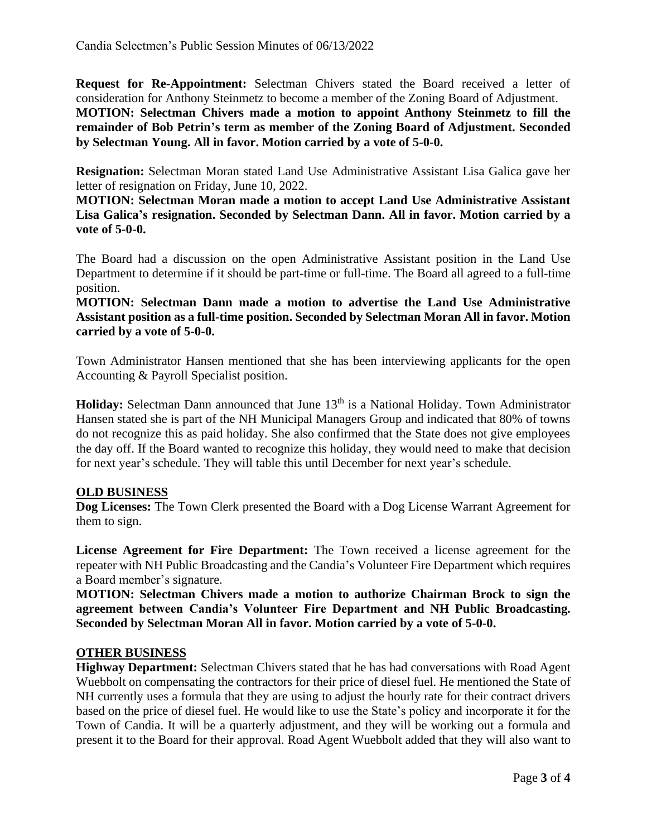**Request for Re-Appointment:** Selectman Chivers stated the Board received a letter of consideration for Anthony Steinmetz to become a member of the Zoning Board of Adjustment.

**MOTION: Selectman Chivers made a motion to appoint Anthony Steinmetz to fill the remainder of Bob Petrin's term as member of the Zoning Board of Adjustment. Seconded by Selectman Young. All in favor. Motion carried by a vote of 5-0-0.**

**Resignation:** Selectman Moran stated Land Use Administrative Assistant Lisa Galica gave her letter of resignation on Friday, June 10, 2022.

**MOTION: Selectman Moran made a motion to accept Land Use Administrative Assistant Lisa Galica's resignation. Seconded by Selectman Dann. All in favor. Motion carried by a vote of 5-0-0.**

The Board had a discussion on the open Administrative Assistant position in the Land Use Department to determine if it should be part-time or full-time. The Board all agreed to a full-time position.

**MOTION: Selectman Dann made a motion to advertise the Land Use Administrative Assistant position as a full-time position. Seconded by Selectman Moran All in favor. Motion carried by a vote of 5-0-0.**

Town Administrator Hansen mentioned that she has been interviewing applicants for the open Accounting & Payroll Specialist position.

Holiday: Selectman Dann announced that June 13<sup>th</sup> is a National Holiday. Town Administrator Hansen stated she is part of the NH Municipal Managers Group and indicated that 80% of towns do not recognize this as paid holiday. She also confirmed that the State does not give employees the day off. If the Board wanted to recognize this holiday, they would need to make that decision for next year's schedule. They will table this until December for next year's schedule.

# **OLD BUSINESS**

**Dog Licenses:** The Town Clerk presented the Board with a Dog License Warrant Agreement for them to sign.

**License Agreement for Fire Department:** The Town received a license agreement for the repeater with NH Public Broadcasting and the Candia's Volunteer Fire Department which requires a Board member's signature.

**MOTION: Selectman Chivers made a motion to authorize Chairman Brock to sign the agreement between Candia's Volunteer Fire Department and NH Public Broadcasting. Seconded by Selectman Moran All in favor. Motion carried by a vote of 5-0-0.**

### **OTHER BUSINESS**

**Highway Department:** Selectman Chivers stated that he has had conversations with Road Agent Wuebbolt on compensating the contractors for their price of diesel fuel. He mentioned the State of NH currently uses a formula that they are using to adjust the hourly rate for their contract drivers based on the price of diesel fuel. He would like to use the State's policy and incorporate it for the Town of Candia. It will be a quarterly adjustment, and they will be working out a formula and present it to the Board for their approval. Road Agent Wuebbolt added that they will also want to